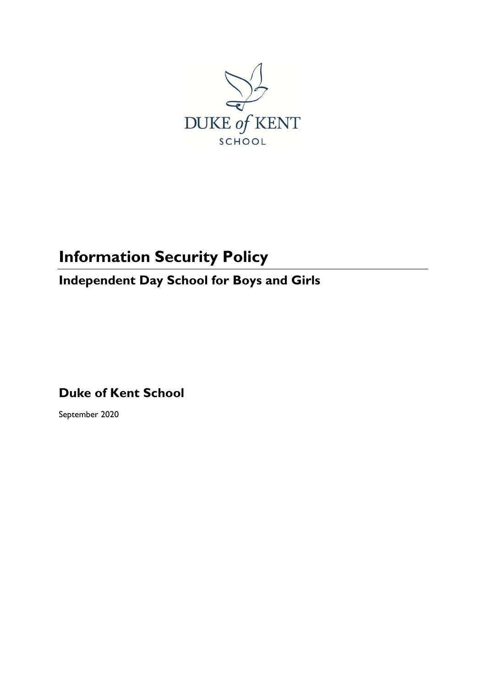

# **Information Security Policy**

# **Independent Day School for Boys and Girls**

**Duke of Kent School**

September 2020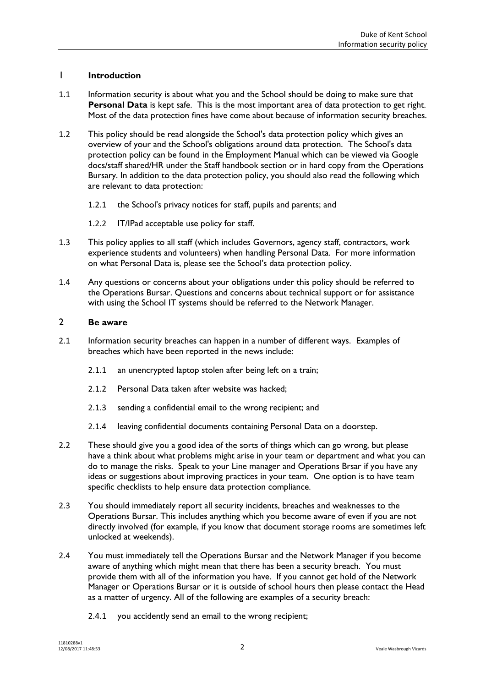## 1 **Introduction**

- 1.1 Information security is about what you and the School should be doing to make sure that **Personal Data** is kept safe. This is the most important area of data protection to get right. Most of the data protection fines have come about because of information security breaches.
- 1.2 This policy should be read alongside the School's data protection policy which gives an overview of your and the School's obligations around data protection. The School's data protection policy can be found in the Employment Manual which can be viewed via Google docs/staff shared/HR under the Staff handbook section or in hard copy from the Operations Bursary. In addition to the data protection policy, you should also read the following which are relevant to data protection:
	- 1.2.1 the School's privacy notices for staff, pupils and parents; and
	- 1.2.2 IT/IPad acceptable use policy for staff.
- 1.3 This policy applies to all staff (which includes Governors, agency staff, contractors, work experience students and volunteers) when handling Personal Data. For more information on what Personal Data is, please see the School's data protection policy.
- 1.4 Any questions or concerns about your obligations under this policy should be referred to the Operations Bursar. Questions and concerns about technical support or for assistance with using the School IT systems should be referred to the Network Manager.

#### 2 **Be aware**

- 2.1 Information security breaches can happen in a number of different ways. Examples of breaches which have been reported in the news include:
	- 2.1.1 an unencrypted laptop stolen after being left on a train;
	- 2.1.2 Personal Data taken after website was hacked;
	- 2.1.3 sending a confidential email to the wrong recipient; and
	- 2.1.4 leaving confidential documents containing Personal Data on a doorstep.
- 2.2 These should give you a good idea of the sorts of things which can go wrong, but please have a think about what problems might arise in your team or department and what you can do to manage the risks. Speak to your Line manager and Operations Brsar if you have any ideas or suggestions about improving practices in your team. One option is to have team specific checklists to help ensure data protection compliance.
- 2.3 You should immediately report all security incidents, breaches and weaknesses to the Operations Bursar. This includes anything which you become aware of even if you are not directly involved (for example, if you know that document storage rooms are sometimes left unlocked at weekends).
- 2.4 You must immediately tell the Operations Bursar and the Network Manager if you become aware of anything which might mean that there has been a security breach. You must provide them with all of the information you have. If you cannot get hold of the Network Manager or Operations Bursar or it is outside of school hours then please contact the Head as a matter of urgency. All of the following are examples of a security breach:
	- 2.4.1 you accidently send an email to the wrong recipient;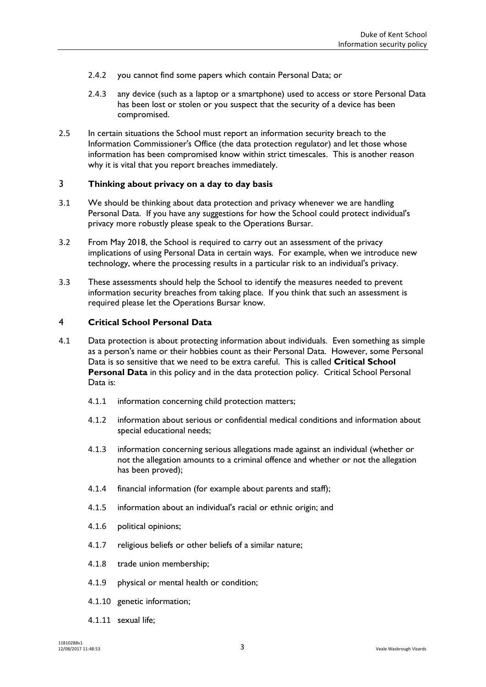- 2.4.2 you cannot find some papers which contain Personal Data; or
- 2.4.3 any device (such as a laptop or a smartphone) used to access or store Personal Data has been lost or stolen or you suspect that the security of a device has been compromised.
- 2.5 In certain situations the School must report an information security breach to the Information Commissioner's Office (the data protection regulator) and let those whose information has been compromised know within strict timescales. This is another reason why it is vital that you report breaches immediately.

#### 3 **Thinking about privacy on a day to day basis**

- 3.1 We should be thinking about data protection and privacy whenever we are handling Personal Data. If you have any suggestions for how the School could protect individual's privacy more robustly please speak to the Operations Bursar.
- 3.2 From May 2018, the School is required to carry out an assessment of the privacy implications of using Personal Data in certain ways. For example, when we introduce new technology, where the processing results in a particular risk to an individual's privacy.
- 3.3 These assessments should help the School to identify the measures needed to prevent information security breaches from taking place. If you think that such an assessment is required please let the Operations Bursar know.

#### 4 **Critical School Personal Data**

- 4.1 Data protection is about protecting information about individuals. Even something as simple as a person's name or their hobbies count as their Personal Data. However, some Personal Data is so sensitive that we need to be extra careful. This is called **Critical School Personal Data** in this policy and in the data protection policy. Critical School Personal Data is:
	- 4.1.1 information concerning child protection matters;
	- 4.1.2 information about serious or confidential medical conditions and information about special educational needs;
	- 4.1.3 information concerning serious allegations made against an individual (whether or not the allegation amounts to a criminal offence and whether or not the allegation has been proved);
	- 4.1.4 financial information (for example about parents and staff);
	- 4.1.5 information about an individual's racial or ethnic origin; and
	- 4.1.6 political opinions;
	- 4.1.7 religious beliefs or other beliefs of a similar nature;
	- 4.1.8 trade union membership;
	- 4.1.9 physical or mental health or condition;
	- 4.1.10 genetic information;
	- 4.1.11 sexual life;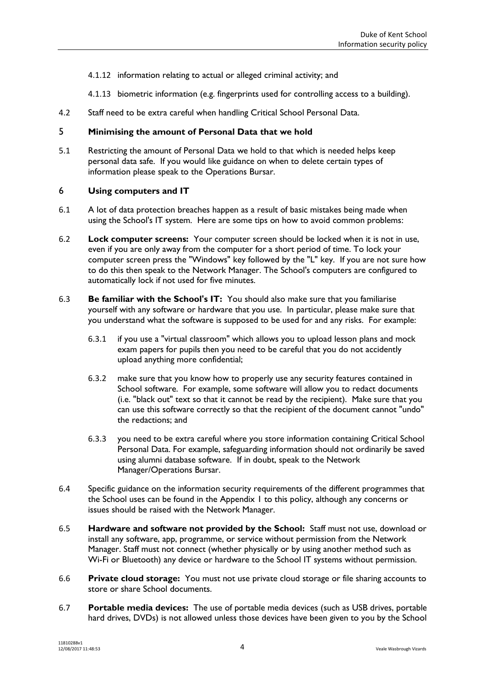- 4.1.12 information relating to actual or alleged criminal activity; and
- 4.1.13 biometric information (e.g. fingerprints used for controlling access to a building).
- 4.2 Staff need to be extra careful when handling Critical School Personal Data.

#### 5 **Minimising the amount of Personal Data that we hold**

5.1 Restricting the amount of Personal Data we hold to that which is needed helps keep personal data safe. If you would like guidance on when to delete certain types of information please speak to the Operations Bursar.

#### 6 **Using computers and IT**

- 6.1 A lot of data protection breaches happen as a result of basic mistakes being made when using the School's IT system. Here are some tips on how to avoid common problems:
- 6.2 **Lock computer screens:** Your computer screen should be locked when it is not in use, even if you are only away from the computer for a short period of time. To lock your computer screen press the "Windows" key followed by the "L" key. If you are not sure how to do this then speak to the Network Manager. The School's computers are configured to automatically lock if not used for five minutes.
- 6.3 **Be familiar with the School's IT:** You should also make sure that you familiarise yourself with any software or hardware that you use. In particular, please make sure that you understand what the software is supposed to be used for and any risks. For example:
	- 6.3.1 if you use a "virtual classroom" which allows you to upload lesson plans and mock exam papers for pupils then you need to be careful that you do not accidently upload anything more confidential;
	- 6.3.2 make sure that you know how to properly use any security features contained in School software. For example, some software will allow you to redact documents (i.e. "black out" text so that it cannot be read by the recipient). Make sure that you can use this software correctly so that the recipient of the document cannot "undo" the redactions; and
	- 6.3.3 you need to be extra careful where you store information containing Critical School Personal Data. For example, safeguarding information should not ordinarily be saved using alumni database software. If in doubt, speak to the Network Manager/Operations Bursar.
- 6.4 Specific guidance on the information security requirements of the different programmes that the School uses can be found in the [Appendix 1](#page-9-0) to this policy, although any concerns or issues should be raised with the Network Manager.
- 6.5 **Hardware and software not provided by the School:** Staff must not use, download or install any software, app, programme, or service without permission from the Network Manager. Staff must not connect (whether physically or by using another method such as Wi-Fi or Bluetooth) any device or hardware to the School IT systems without permission.
- 6.6 **Private cloud storage:** You must not use private cloud storage or file sharing accounts to store or share School documents.
- 6.7 **Portable media devices:** The use of portable media devices (such as USB drives, portable hard drives, DVDs) is not allowed unless those devices have been given to you by the School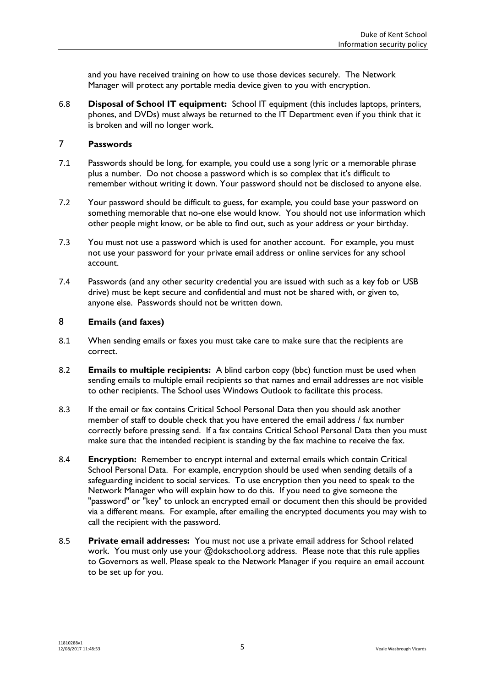and you have received training on how to use those devices securely. The Network Manager will protect any portable media device given to you with encryption.

6.8 **Disposal of School IT equipment:** School IT equipment (this includes laptops, printers, phones, and DVDs) must always be returned to the IT Department even if you think that it is broken and will no longer work.

#### <span id="page-4-0"></span>7 **Passwords**

- 7.1 Passwords should be long, for example, you could use a song lyric or a memorable phrase plus a number. Do not choose a password which is so complex that it's difficult to remember without writing it down. Your password should not be disclosed to anyone else.
- 7.2 Your password should be difficult to guess, for example, you could base your password on something memorable that no-one else would know. You should not use information which other people might know, or be able to find out, such as your address or your birthday.
- 7.3 You must not use a password which is used for another account. For example, you must not use your password for your private email address or online services for any school account.
- 7.4 Passwords (and any other security credential you are issued with such as a key fob or USB drive) must be kept secure and confidential and must not be shared with, or given to, anyone else. Passwords should not be written down.

#### 8 **Emails (and faxes)**

- 8.1 When sending emails or faxes you must take care to make sure that the recipients are correct.
- 8.2 **Emails to multiple recipients:** A blind carbon copy (bbc) function must be used when sending emails to multiple email recipients so that names and email addresses are not visible to other recipients. The School uses Windows Outlook to facilitate this process.
- 8.3 If the email or fax contains Critical School Personal Data then you should ask another member of staff to double check that you have entered the email address / fax number correctly before pressing send. If a fax contains Critical School Personal Data then you must make sure that the intended recipient is standing by the fax machine to receive the fax.
- 8.4 **Encryption:** Remember to encrypt internal and external emails which contain Critical School Personal Data. For example, encryption should be used when sending details of a safeguarding incident to social services. To use encryption then you need to speak to the Network Manager who will explain how to do this. If you need to give someone the "password" or "key" to unlock an encrypted email or document then this should be provided via a different means. For example, after emailing the encrypted documents you may wish to call the recipient with the password.
- 8.5 **Private email addresses:** You must not use a private email address for School related work. You must only use your @dokschool.org address. Please note that this rule applies to Governors as well. Please speak to the Network Manager if you require an email account to be set up for you.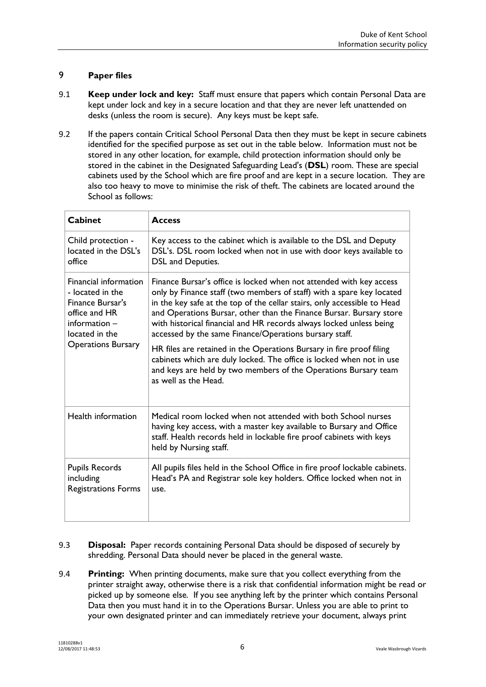# 9 **Paper files**

- 9.1 **Keep under lock and key:** Staff must ensure that papers which contain Personal Data are kept under lock and key in a secure location and that they are never left unattended on desks (unless the room is secure). Any keys must be kept safe.
- <span id="page-5-0"></span>9.2 If the papers contain Critical School Personal Data then they must be kept in secure cabinets identified for the specified purpose as set out in the table below. Information must not be stored in any other location, for example, child protection information should only be stored in the cabinet in the Designated Safeguarding Lead's (**DSL**) room. These are special cabinets used by the School which are fire proof and are kept in a secure location. They are also too heavy to move to minimise the risk of theft. The cabinets are located around the School as follows:

| <b>Cabinet</b>                                                                                                                                          | <b>Access</b>                                                                                                                                                                                                                                                                                                                                                                                                                                                                                                                                                                                                                                                               |
|---------------------------------------------------------------------------------------------------------------------------------------------------------|-----------------------------------------------------------------------------------------------------------------------------------------------------------------------------------------------------------------------------------------------------------------------------------------------------------------------------------------------------------------------------------------------------------------------------------------------------------------------------------------------------------------------------------------------------------------------------------------------------------------------------------------------------------------------------|
| Child protection -<br>located in the DSL's<br>office                                                                                                    | Key access to the cabinet which is available to the DSL and Deputy<br>DSL's. DSL room locked when not in use with door keys available to<br>DSL and Deputies.                                                                                                                                                                                                                                                                                                                                                                                                                                                                                                               |
| <b>Financial information</b><br>- located in the<br>Finance Bursar's<br>office and HR<br>$information -$<br>located in the<br><b>Operations Bursary</b> | Finance Bursar's office is locked when not attended with key access<br>only by Finance staff (two members of staff) with a spare key located<br>in the key safe at the top of the cellar stairs, only accessible to Head<br>and Operations Bursar, other than the Finance Bursar. Bursary store<br>with historical financial and HR records always locked unless being<br>accessed by the same Finance/Operations bursary staff.<br>HR files are retained in the Operations Bursary in fire proof filing<br>cabinets which are duly locked. The office is locked when not in use<br>and keys are held by two members of the Operations Bursary team<br>as well as the Head. |
| Health information                                                                                                                                      | Medical room locked when not attended with both School nurses<br>having key access, with a master key available to Bursary and Office<br>staff. Health records held in lockable fire proof cabinets with keys<br>held by Nursing staff.                                                                                                                                                                                                                                                                                                                                                                                                                                     |
| <b>Pupils Records</b><br>including<br><b>Registrations Forms</b>                                                                                        | All pupils files held in the School Office in fire proof lockable cabinets.<br>Head's PA and Registrar sole key holders. Office locked when not in<br>use.                                                                                                                                                                                                                                                                                                                                                                                                                                                                                                                  |

- 9.3 **Disposal:** Paper records containing Personal Data should be disposed of securely by shredding. Personal Data should never be placed in the general waste.
- 9.4 **Printing:** When printing documents, make sure that you collect everything from the printer straight away, otherwise there is a risk that confidential information might be read or picked up by someone else. If you see anything left by the printer which contains Personal Data then you must hand it in to the Operations Bursar. Unless you are able to print to your own designated printer and can immediately retrieve your document, always print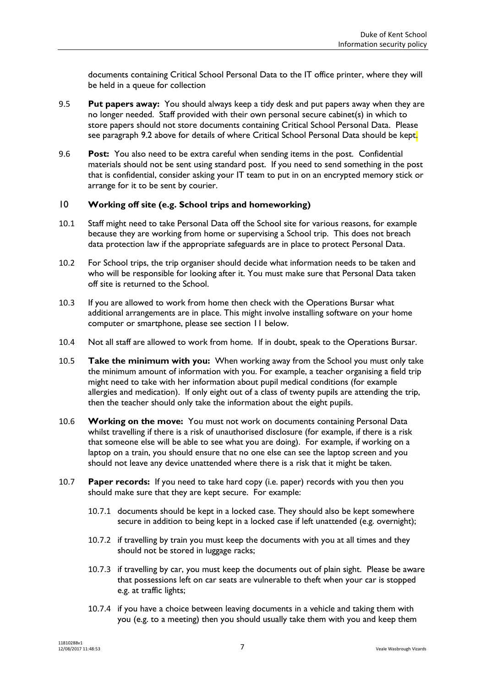documents containing Critical School Personal Data to the IT office printer, where they will be held in a queue for collection

- 9.5 **Put papers away:** You should always keep a tidy desk and put papers away when they are no longer needed. Staff provided with their own personal secure cabinet(s) in which to store papers should not store documents containing Critical School Personal Data. Please see paragraph [9.2](#page-5-0) above for details of where Critical School Personal Data should be kept.
- 9.6 **Post:** You also need to be extra careful when sending items in the post. Confidential materials should not be sent using standard post. If you need to send something in the post that is confidential, consider asking your IT team to put in on an encrypted memory stick or arrange for it to be sent by courier.

#### 10 **Working off site (e.g. School trips and homeworking)**

- 10.1 Staff might need to take Personal Data off the School site for various reasons, for example because they are working from home or supervising a School trip. This does not breach data protection law if the appropriate safeguards are in place to protect Personal Data.
- 10.2 For School trips, the trip organiser should decide what information needs to be taken and who will be responsible for looking after it. You must make sure that Personal Data taken off site is returned to the School.
- 10.3 If you are allowed to work from home then check with the Operations Bursar what additional arrangements are in place. This might involve installing software on your home computer or smartphone, please see section [11](#page-7-0) below.
- 10.4 Not all staff are allowed to work from home. If in doubt, speak to the Operations Bursar.
- <span id="page-6-0"></span>10.5 **Take the minimum with you:** When working away from the School you must only take the minimum amount of information with you. For example, a teacher organising a field trip might need to take with her information about pupil medical conditions (for example allergies and medication). If only eight out of a class of twenty pupils are attending the trip, then the teacher should only take the information about the eight pupils.
- 10.6 **Working on the move:** You must not work on documents containing Personal Data whilst travelling if there is a risk of unauthorised disclosure (for example, if there is a risk that someone else will be able to see what you are doing). For example, if working on a laptop on a train, you should ensure that no one else can see the laptop screen and you should not leave any device unattended where there is a risk that it might be taken.
- 10.7 **Paper records:** If you need to take hard copy (i.e. paper) records with you then you should make sure that they are kept secure. For example:
	- 10.7.1 documents should be kept in a locked case. They should also be kept somewhere secure in addition to being kept in a locked case if left unattended (e.g. overnight);
	- 10.7.2 if travelling by train you must keep the documents with you at all times and they should not be stored in luggage racks;
	- 10.7.3 if travelling by car, you must keep the documents out of plain sight. Please be aware that possessions left on car seats are vulnerable to theft when your car is stopped e.g. at traffic lights;
	- 10.7.4 if you have a choice between leaving documents in a vehicle and taking them with you (e.g. to a meeting) then you should usually take them with you and keep them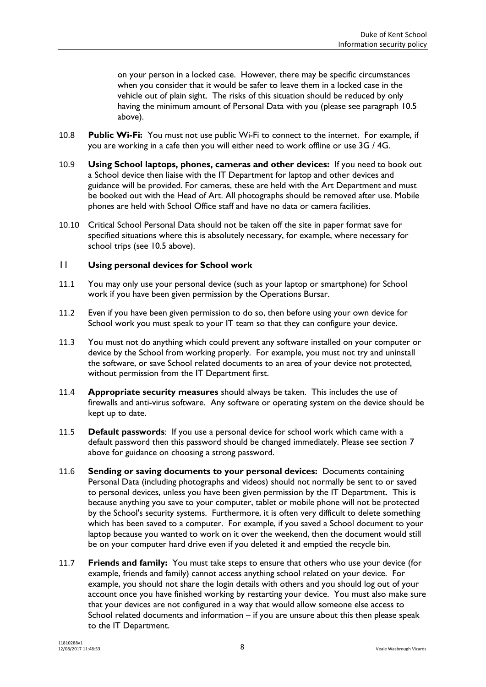on your person in a locked case. However, there may be specific circumstances when you consider that it would be safer to leave them in a locked case in the vehicle out of plain sight. The risks of this situation should be reduced by only having the minimum amount of Personal Data with you (please see paragraph [10.5](#page-6-0) above).

- 10.8 **Public Wi-Fi:** You must not use public Wi-Fi to connect to the internet. For example, if you are working in a cafe then you will either need to work offline or use 3G / 4G.
- 10.9 **Using School laptops, phones, cameras and other devices:** If you need to book out a School device then liaise with the IT Department for laptop and other devices and guidance will be provided. For cameras, these are held with the Art Department and must be booked out with the Head of Art. All photographs should be removed after use. Mobile phones are held with School Office staff and have no data or camera facilities.
- 10.10 Critical School Personal Data should not be taken off the site in paper format save for specified situations where this is absolutely necessary, for example, where necessary for school trips (see [10.5](#page-6-0) above).

#### <span id="page-7-0"></span>11 **Using personal devices for School work**

- 11.1 You may only use your personal device (such as your laptop or smartphone) for School work if you have been given permission by the Operations Bursar.
- 11.2 Even if you have been given permission to do so, then before using your own device for School work you must speak to your IT team so that they can configure your device.
- 11.3 You must not do anything which could prevent any software installed on your computer or device by the School from working properly. For example, you must not try and uninstall the software, or save School related documents to an area of your device not protected, without permission from the IT Department first.
- 11.4 **Appropriate security measures** should always be taken. This includes the use of firewalls and anti-virus software. Any software or operating system on the device should be kept up to date.
- 11.5 **Default passwords**: If you use a personal device for school work which came with a default password then this password should be changed immediately. Please see section [7](#page-4-0) above for guidance on choosing a strong password.
- 11.6 **Sending or saving documents to your personal devices:** Documents containing Personal Data (including photographs and videos) should not normally be sent to or saved to personal devices, unless you have been given permission by the IT Department. This is because anything you save to your computer, tablet or mobile phone will not be protected by the School's security systems. Furthermore, it is often very difficult to delete something which has been saved to a computer. For example, if you saved a School document to your laptop because you wanted to work on it over the weekend, then the document would still be on your computer hard drive even if you deleted it and emptied the recycle bin.
- 11.7 **Friends and family:** You must take steps to ensure that others who use your device (for example, friends and family) cannot access anything school related on your device. For example, you should not share the login details with others and you should log out of your account once you have finished working by restarting your device. You must also make sure that your devices are not configured in a way that would allow someone else access to School related documents and information – if you are unsure about this then please speak to the IT Department.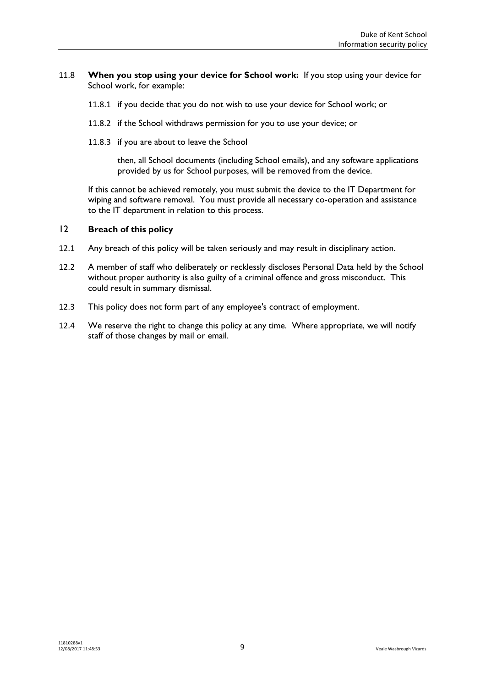#### 11.8 **When you stop using your device for School work:** If you stop using your device for School work, for example:

- 11.8.1 if you decide that you do not wish to use your device for School work; or
- 11.8.2 if the School withdraws permission for you to use your device; or
- 11.8.3 if you are about to leave the School

then, all School documents (including School emails), and any software applications provided by us for School purposes, will be removed from the device.

If this cannot be achieved remotely, you must submit the device to the IT Department for wiping and software removal. You must provide all necessary co-operation and assistance to the IT department in relation to this process.

## 12 **Breach of this policy**

- 12.1 Any breach of this policy will be taken seriously and may result in disciplinary action.
- 12.2 A member of staff who deliberately or recklessly discloses Personal Data held by the School without proper authority is also guilty of a criminal offence and gross misconduct. This could result in summary dismissal.
- 12.3 This policy does not form part of any employee's contract of employment.
- 12.4 We reserve the right to change this policy at any time. Where appropriate, we will notify staff of those changes by mail or email.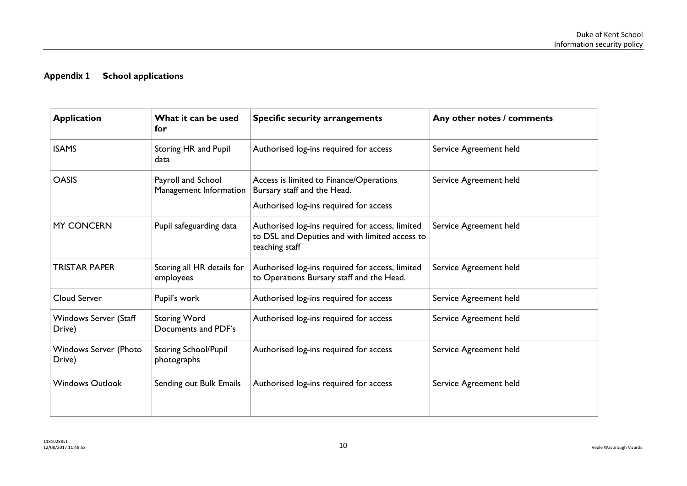# **Appendix 1 School applications**

<span id="page-9-0"></span>

| <b>Application</b>                     | What it can be used<br>for                   | <b>Specific security arrangements</b>                                                                               | Any other notes / comments |
|----------------------------------------|----------------------------------------------|---------------------------------------------------------------------------------------------------------------------|----------------------------|
| <b>ISAMS</b>                           | Storing HR and Pupil<br>data                 | Authorised log-ins required for access                                                                              | Service Agreement held     |
| <b>OASIS</b>                           | Payroll and School<br>Management Information | Access is limited to Finance/Operations<br>Bursary staff and the Head.<br>Authorised log-ins required for access    | Service Agreement held     |
| <b>MY CONCERN</b>                      | Pupil safeguarding data                      | Authorised log-ins required for access, limited<br>to DSL and Deputies and with limited access to<br>teaching staff | Service Agreement held     |
| <b>TRISTAR PAPER</b>                   | Storing all HR details for<br>employees      | Authorised log-ins required for access, limited<br>to Operations Bursary staff and the Head.                        | Service Agreement held     |
| <b>Cloud Server</b>                    | Pupil's work                                 | Authorised log-ins required for access                                                                              | Service Agreement held     |
| Windows Server (Staff<br>Drive)        | <b>Storing Word</b><br>Documents and PDF's   | Authorised log-ins required for access                                                                              | Service Agreement held     |
| <b>Windows Server (Photo</b><br>Drive) | <b>Storing School/Pupil</b><br>photographs   | Authorised log-ins required for access                                                                              | Service Agreement held     |
| <b>Windows Outlook</b>                 | Sending out Bulk Emails                      | Authorised log-ins required for access                                                                              | Service Agreement held     |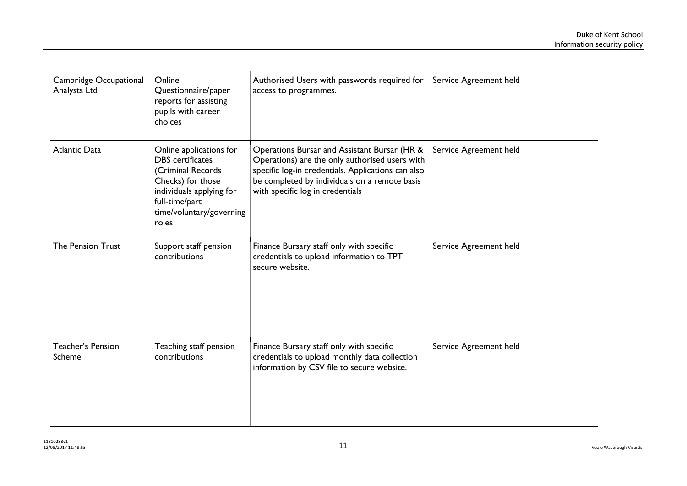| Cambridge Occupational<br>Analysts Ltd | Online<br>Questionnaire/paper<br>reports for assisting<br>pupils with career<br>choices                                                                                         | Authorised Users with passwords required for<br>access to programmes.                                                                                                                                                                     | Service Agreement held |
|----------------------------------------|---------------------------------------------------------------------------------------------------------------------------------------------------------------------------------|-------------------------------------------------------------------------------------------------------------------------------------------------------------------------------------------------------------------------------------------|------------------------|
| <b>Atlantic Data</b>                   | Online applications for<br><b>DBS</b> certificates<br>(Criminal Records<br>Checks) for those<br>individuals applying for<br>full-time/part<br>time/voluntary/governing<br>roles | Operations Bursar and Assistant Bursar (HR &<br>Operations) are the only authorised users with<br>specific log-in credentials. Applications can also<br>be completed by individuals on a remote basis<br>with specific log in credentials | Service Agreement held |
| The Pension Trust                      | Support staff pension<br>contributions                                                                                                                                          | Finance Bursary staff only with specific<br>credentials to upload information to TPT<br>secure website.                                                                                                                                   | Service Agreement held |
| Teacher's Pension<br>Scheme            | Teaching staff pension<br>contributions                                                                                                                                         | Finance Bursary staff only with specific<br>credentials to upload monthly data collection<br>information by CSV file to secure website.                                                                                                   | Service Agreement held |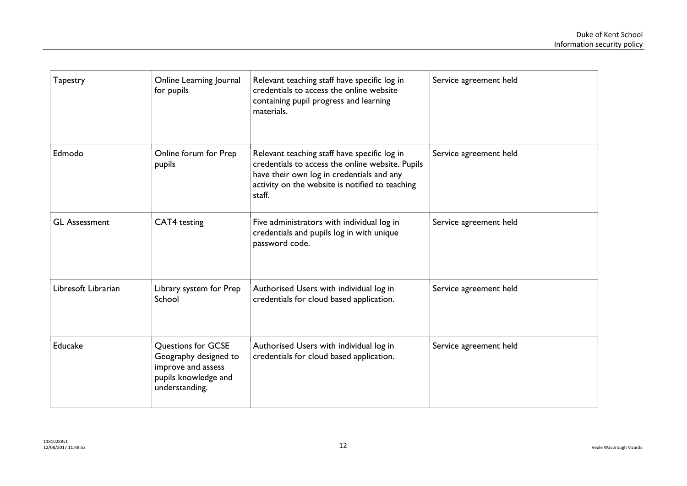| <b>Tapestry</b>      | Online Learning Journal<br>for pupils                                                                       | Relevant teaching staff have specific log in<br>credentials to access the online website<br>containing pupil progress and learning<br>materials.                                                           | Service agreement held |
|----------------------|-------------------------------------------------------------------------------------------------------------|------------------------------------------------------------------------------------------------------------------------------------------------------------------------------------------------------------|------------------------|
| Edmodo               | Online forum for Prep<br>pupils                                                                             | Relevant teaching staff have specific log in<br>credentials to access the online website. Pupils<br>have their own log in credentials and any<br>activity on the website is notified to teaching<br>staff. | Service agreement held |
| <b>GL Assessment</b> | CAT4 testing                                                                                                | Five administrators with individual log in<br>credentials and pupils log in with unique<br>password code.                                                                                                  | Service agreement held |
| Libresoft Librarian  | Library system for Prep<br>School                                                                           | Authorised Users with individual log in<br>credentials for cloud based application.                                                                                                                        | Service agreement held |
| Educake              | Questions for GCSE<br>Geography designed to<br>improve and assess<br>pupils knowledge and<br>understanding. | Authorised Users with individual log in<br>credentials for cloud based application.                                                                                                                        | Service agreement held |